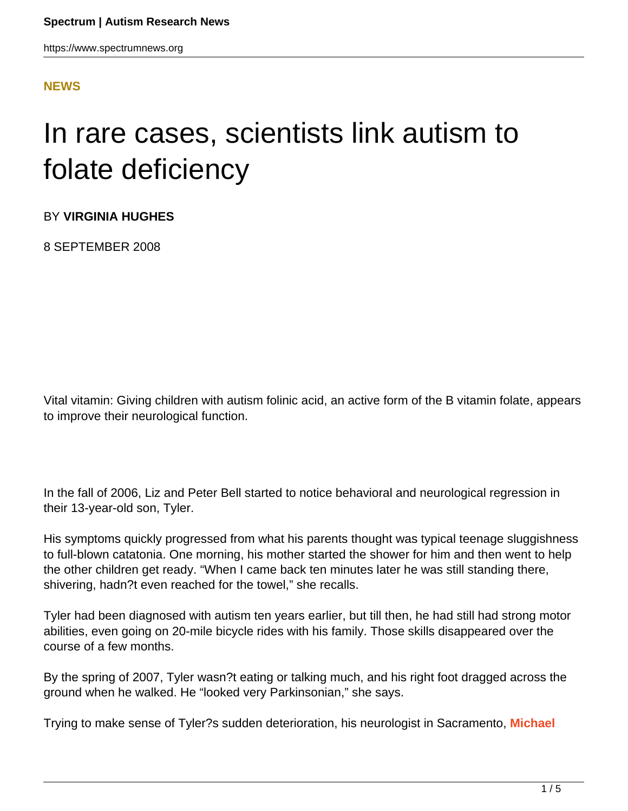### **[NEWS](HTTPS://WWW.SPECTRUMNEWS.ORG/NEWS/)**

# In rare cases, scientists link autism to folate deficiency

BY **VIRGINIA HUGHES**

8 SEPTEMBER 2008

Vital vitamin: Giving children with autism folinic acid, an active form of the B vitamin folate, appears to improve their neurological function.

In the fall of 2006, Liz and Peter Bell started to notice behavioral and neurological regression in their 13-year-old son, Tyler.

His symptoms quickly progressed from what his parents thought was typical teenage sluggishness to full-blown catatonia. One morning, his mother started the shower for him and then went to help the other children get ready. "When I came back ten minutes later he was still standing there, shivering, hadn?t even reached for the towel," she recalls.

Tyler had been diagnosed with autism ten years earlier, but till then, he had still had strong motor abilities, even going on 20-mile bicycle rides with his family. Those skills disappeared over the course of a few months.

By the spring of 2007, Tyler wasn?t eating or talking much, and his right foot dragged across the ground when he walked. He "looked very Parkinsonian," she says.

Trying to make sense of Tyler?s sudden deterioration, his neurologist in Sacramento, **[Michael](http://www.checksutterfirst.org/providersearch/?sitecfg=39&action=providerdetail&masterid=5842&isLevelOne=1)**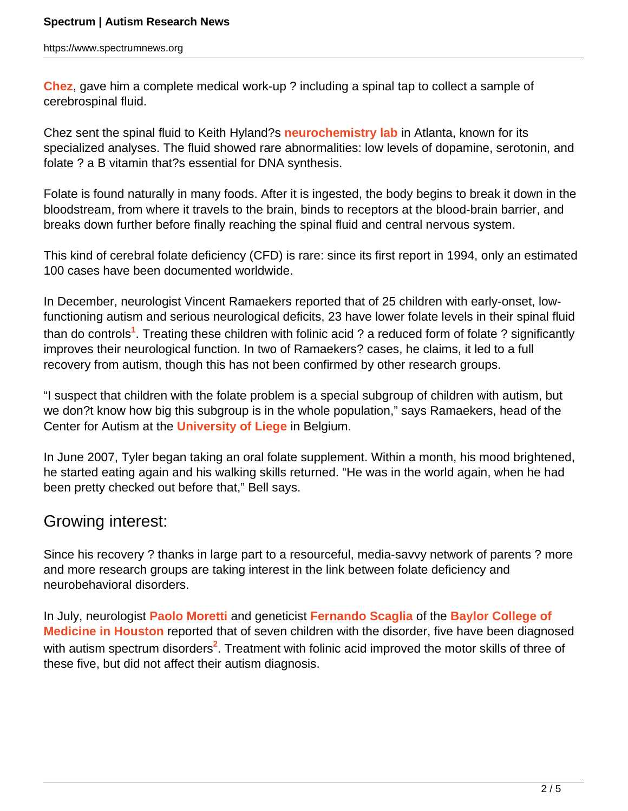**[Chez](http://www.checksutterfirst.org/providersearch/?sitecfg=39&action=providerdetail&masterid=5842&isLevelOne=1)**, gave him a complete medical work-up ? including a spinal tap to collect a sample of cerebrospinal fluid.

Chez sent the spinal fluid to Keith Hyland?s **[neurochemistry lab](http://www.medicalneurogenetics.com/)** in Atlanta, known for its specialized analyses. The fluid showed rare abnormalities: low levels of dopamine, serotonin, and folate ? a B vitamin that?s essential for DNA synthesis.

Folate is found naturally in many foods. After it is ingested, the body begins to break it down in the bloodstream, from where it travels to the brain, binds to receptors at the blood-brain barrier, and breaks down further before finally reaching the spinal fluid and central nervous system.

This kind of cerebral folate deficiency (CFD) is rare: since its first report in 1994, only an estimated 100 cases have been documented worldwide.

In December, neurologist Vincent Ramaekers reported that of 25 children with early-onset, lowfunctioning autism and serious neurological deficits, 23 have lower folate levels in their spinal fluid than do controls**<sup>1</sup>** . Treating these children with folinic acid ? a reduced form of folate ? significantly improves their neurological function. In two of Ramaekers? cases, he claims, it led to a full recovery from autism, though this has not been confirmed by other research groups.

"I suspect that children with the folate problem is a special subgroup of children with autism, but we don?t know how big this subgroup is in the whole population," says Ramaekers, head of the Center for Autism at the **[University of Liege](http://www.ulg.ac.be)** in Belgium.

In June 2007, Tyler began taking an oral folate supplement. Within a month, his mood brightened, he started eating again and his walking skills returned. "He was in the world again, when he had been pretty checked out before that," Bell says.

## Growing interest:

Since his recovery ? thanks in large part to a resourceful, media-savvy network of parents ? more and more research groups are taking interest in the link between folate deficiency and neurobehavioral disorders.

In July, neurologist **[Paolo Moretti](http://www.bcm.edu/genetics/index.cfm?pmid=11172)** and geneticist **[Fernando Scaglia](http://www.bcm.edu/genetics/?pmid=11038)** of the **[Baylor College of](http://www.bcm.edu/) [Medicine in Houston](http://www.bcm.edu/)** reported that of seven children with the disorder, five have been diagnosed with autism spectrum disorders<sup>2</sup>. Treatment with folinic acid improved the motor skills of three of these five, but did not affect their autism diagnosis.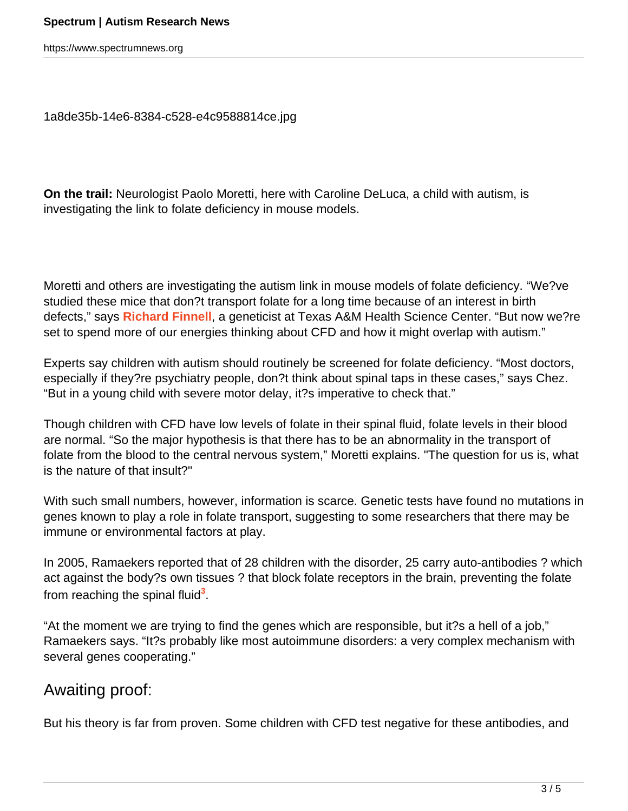https://www.spectrumnews.org

[1a8de35b-14e6-8384-c528-e4c9588814ce.jpg](http://sfari.org/images/imported/49063)

**On the trail:** Neurologist Paolo Moretti, here with Caroline DeLuca, a child with autism, is investigating the link to folate deficiency in mouse models.

Moretti and others are investigating the autism link in mouse models of folate deficiency. "We?ve studied these mice that don?t transport folate for a long time because of an interest in birth defects," says **[Richard Finnell](http://ibt.tamhsc.edu/faculty/bio-finnell.html)**, a geneticist at Texas A&M Health Science Center. "But now we?re set to spend more of our energies thinking about CFD and how it might overlap with autism."

Experts say children with autism should routinely be screened for folate deficiency. "Most doctors, especially if they?re psychiatry people, don?t think about spinal taps in these cases," says Chez. "But in a young child with severe motor delay, it?s imperative to check that."

Though children with CFD have low levels of folate in their spinal fluid, folate levels in their blood are normal. "So the major hypothesis is that there has to be an abnormality in the transport of folate from the blood to the central nervous system," Moretti explains. "The question for us is, what is the nature of that insult?"

With such small numbers, however, information is scarce. Genetic tests have found no mutations in genes known to play a role in folate transport, suggesting to some researchers that there may be immune or environmental factors at play.

In 2005, Ramaekers reported that of 28 children with the disorder, 25 carry auto-antibodies ? which act against the body?s own tissues ? that block folate receptors in the brain, preventing the folate from reaching the spinal fluid<sup>3</sup>.

"At the moment we are trying to find the genes which are responsible, but it?s a hell of a job," Ramaekers says. "It?s probably like most autoimmune disorders: a very complex mechanism with several genes cooperating."

# Awaiting proof:

But his theory is far from proven. Some children with CFD test negative for these antibodies, and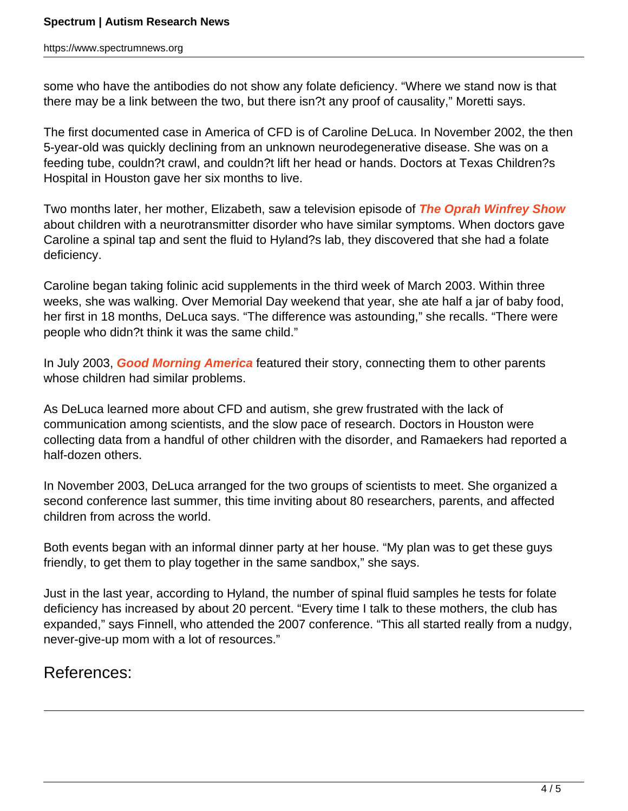some who have the antibodies do not show any folate deficiency. "Where we stand now is that there may be a link between the two, but there isn?t any proof of causality," Moretti says.

The first documented case in America of CFD is of Caroline DeLuca. In November 2002, the then 5-year-old was quickly declining from an unknown neurodegenerative disease. She was on a feeding tube, couldn?t crawl, and couldn?t lift her head or hands. Doctors at Texas Children?s Hospital in Houston gave her six months to live.

Two months later, her mother, Elizabeth, saw a television episode of **[The Oprah Winfrey Show](http://www.oprah.com/tows)** about children with a neurotransmitter disorder who have similar symptoms. When doctors gave Caroline a spinal tap and sent the fluid to Hyland?s lab, they discovered that she had a folate deficiency.

Caroline began taking folinic acid supplements in the third week of March 2003. Within three weeks, she was walking. Over Memorial Day weekend that year, she ate half a jar of baby food, her first in 18 months, DeLuca says. "The difference was astounding," she recalls. "There were people who didn?t think it was the same child."

In July 2003, **[Good Morning America](http://abcnews.go.com/GMA/)** featured their story, connecting them to other parents whose children had similar problems.

As DeLuca learned more about CFD and autism, she grew frustrated with the lack of communication among scientists, and the slow pace of research. Doctors in Houston were collecting data from a handful of other children with the disorder, and Ramaekers had reported a half-dozen others.

In November 2003, DeLuca arranged for the two groups of scientists to meet. She organized a second conference last summer, this time inviting about 80 researchers, parents, and affected children from across the world.

Both events began with an informal dinner party at her house. "My plan was to get these guys friendly, to get them to play together in the same sandbox," she says.

Just in the last year, according to Hyland, the number of spinal fluid samples he tests for folate deficiency has increased by about 20 percent. "Every time I talk to these mothers, the club has expanded," says Finnell, who attended the 2007 conference. "This all started really from a nudgy, never-give-up mom with a lot of resources."

## References: